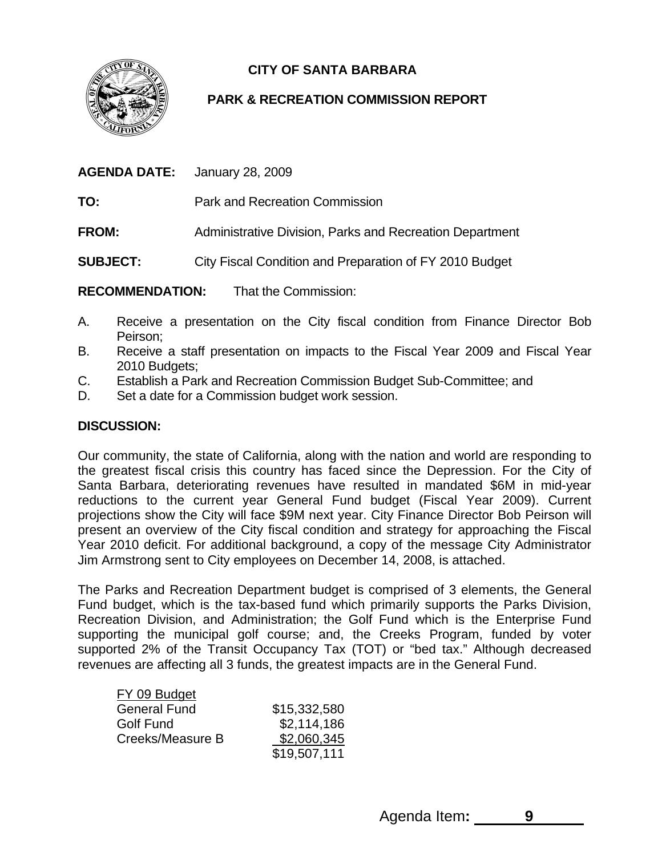

# **CITY OF SANTA BARBARA**

## **PARK & RECREATION COMMISSION REPORT**

| January 28, 2009                                         |
|----------------------------------------------------------|
| Park and Recreation Commission                           |
| Administrative Division, Parks and Recreation Department |
| City Fiscal Condition and Preparation of FY 2010 Budget  |
|                                                          |

**RECOMMENDATION:** That the Commission:

- A. Receive a presentation on the City fiscal condition from Finance Director Bob Peirson;
- B. Receive a staff presentation on impacts to the Fiscal Year 2009 and Fiscal Year 2010 Budgets;
- C. Establish a Park and Recreation Commission Budget Sub-Committee; and
- D. Set a date for a Commission budget work session.

## **DISCUSSION:**

Our community, the state of California, along with the nation and world are responding to the greatest fiscal crisis this country has faced since the Depression. For the City of Santa Barbara, deteriorating revenues have resulted in mandated \$6M in mid-year reductions to the current year General Fund budget (Fiscal Year 2009). Current projections show the City will face \$9M next year. City Finance Director Bob Peirson will present an overview of the City fiscal condition and strategy for approaching the Fiscal Year 2010 deficit. For additional background, a copy of the message City Administrator Jim Armstrong sent to City employees on December 14, 2008, is attached.

The Parks and Recreation Department budget is comprised of 3 elements, the General Fund budget, which is the tax-based fund which primarily supports the Parks Division, Recreation Division, and Administration; the Golf Fund which is the Enterprise Fund supporting the municipal golf course; and, the Creeks Program, funded by voter supported 2% of the Transit Occupancy Tax (TOT) or "bed tax." Although decreased revenues are affecting all 3 funds, the greatest impacts are in the General Fund.

| FY 09 Budget        |              |
|---------------------|--------------|
| <b>General Fund</b> | \$15,332,580 |
| Golf Fund           | \$2,114,186  |
| Creeks/Measure B    | \$2,060,345  |
|                     | \$19,507,111 |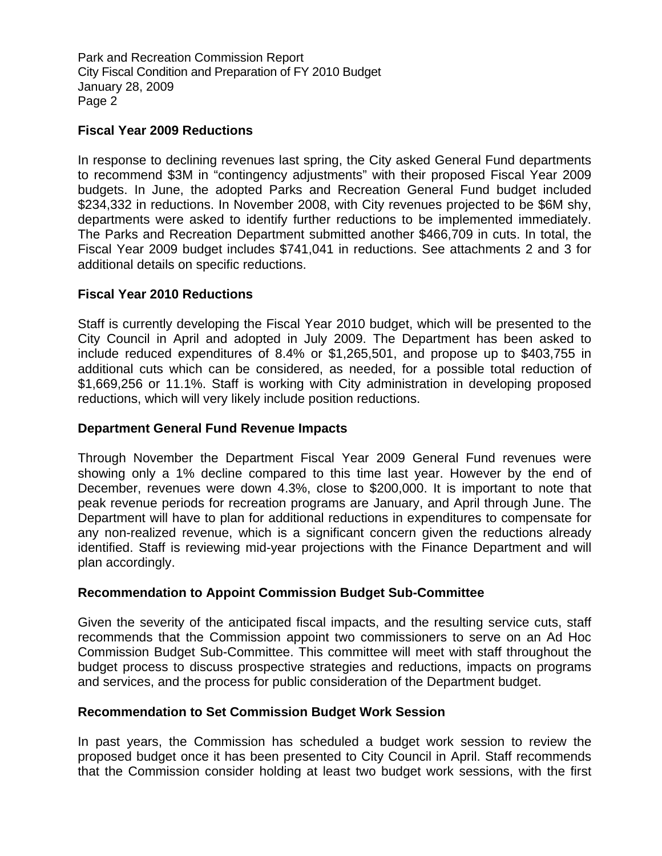Park and Recreation Commission Report City Fiscal Condition and Preparation of FY 2010 Budget January 28, 2009 Page 2

#### **Fiscal Year 2009 Reductions**

In response to declining revenues last spring, the City asked General Fund departments to recommend \$3M in "contingency adjustments" with their proposed Fiscal Year 2009 budgets. In June, the adopted Parks and Recreation General Fund budget included \$234,332 in reductions. In November 2008, with City revenues projected to be \$6M shy, departments were asked to identify further reductions to be implemented immediately. The Parks and Recreation Department submitted another \$466,709 in cuts. In total, the Fiscal Year 2009 budget includes \$741,041 in reductions. See attachments 2 and 3 for additional details on specific reductions.

### **Fiscal Year 2010 Reductions**

Staff is currently developing the Fiscal Year 2010 budget, which will be presented to the City Council in April and adopted in July 2009. The Department has been asked to include reduced expenditures of 8.4% or \$1,265,501, and propose up to \$403,755 in additional cuts which can be considered, as needed, for a possible total reduction of \$1,669,256 or 11.1%. Staff is working with City administration in developing proposed reductions, which will very likely include position reductions.

#### **Department General Fund Revenue Impacts**

Through November the Department Fiscal Year 2009 General Fund revenues were showing only a 1% decline compared to this time last year. However by the end of December, revenues were down 4.3%, close to \$200,000. It is important to note that peak revenue periods for recreation programs are January, and April through June. The Department will have to plan for additional reductions in expenditures to compensate for any non-realized revenue, which is a significant concern given the reductions already identified. Staff is reviewing mid-year projections with the Finance Department and will plan accordingly.

### **Recommendation to Appoint Commission Budget Sub-Committee**

Given the severity of the anticipated fiscal impacts, and the resulting service cuts, staff recommends that the Commission appoint two commissioners to serve on an Ad Hoc Commission Budget Sub-Committee. This committee will meet with staff throughout the budget process to discuss prospective strategies and reductions, impacts on programs and services, and the process for public consideration of the Department budget.

#### **Recommendation to Set Commission Budget Work Session**

In past years, the Commission has scheduled a budget work session to review the proposed budget once it has been presented to City Council in April. Staff recommends that the Commission consider holding at least two budget work sessions, with the first